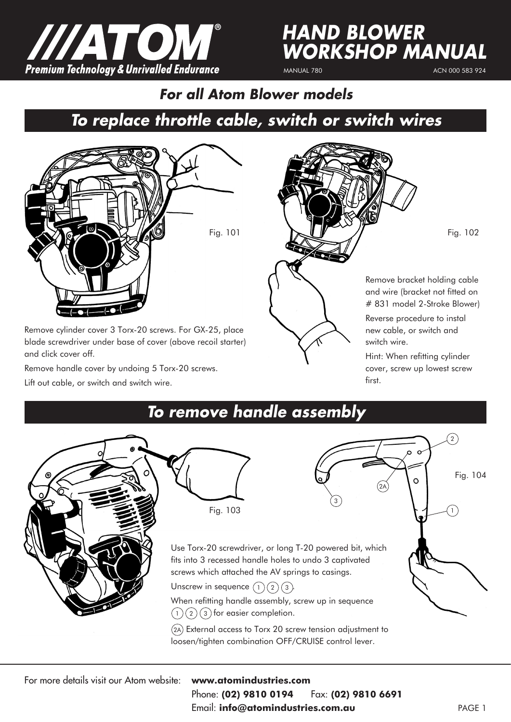

## *HAND BLOWER WORKSHOP MANUAL*

MANUAL 780

ACN 000 583 924

*To replace throttle cable, switch or switch wires For all Atom Blower models*



Remove cylinder cover 3 Torx-20 screws. For GX-25, place blade screwdriver under base of cover (above recoil starter) and click cover off.

Remove handle cover by undoing 5 Torx-20 screws. Lift out cable, or switch and switch wire.



Hint: When refitting cylinder cover, screw up lowest screw first.

## *To remove handle assembly*



For more details visit our Atom website: **www.atomindustries.com**

## Phone: **(02) 9810 0194** Fax: **(02) 9810 6691**

Email: **info@atomindustries.com.au**